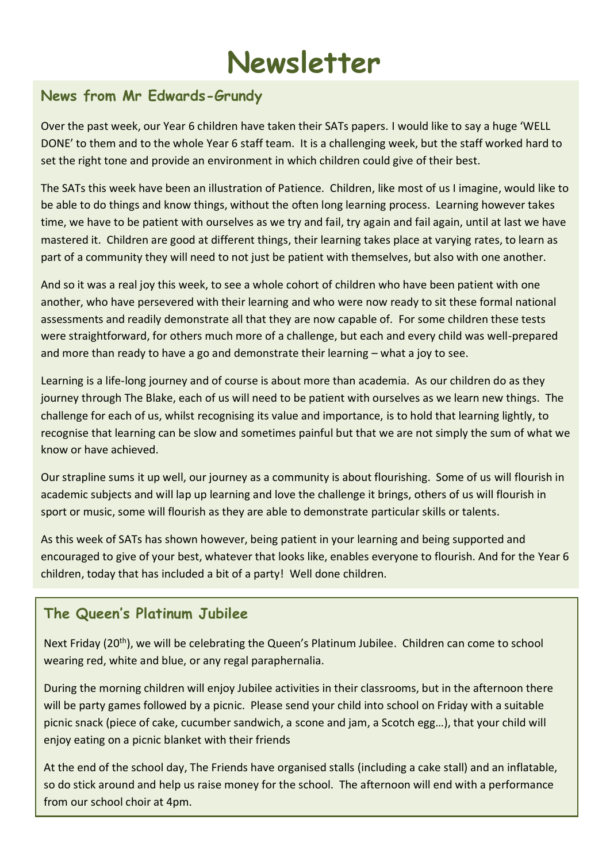## **Newsletter**

## **News from Mr Edwards-Grundy**

Over the past week, our Year 6 children have taken their SATs papers. I would like to say a huge 'WELL DONE' to them and to the whole Year 6 staff team. It is a challenging week, but the staff worked hard to set the right tone and provide an environment in which children could give of their best.

The SATs this week have been an illustration of Patience. Children, like most of us I imagine, would like to be able to do things and know things, without the often long learning process. Learning however takes time, we have to be patient with ourselves as we try and fail, try again and fail again, until at last we have mastered it. Children are good at different things, their learning takes place at varying rates, to learn as part of a community they will need to not just be patient with themselves, but also with one another.

And so it was a real joy this week, to see a whole cohort of children who have been patient with one another, who have persevered with their learning and who were now ready to sit these formal national assessments and readily demonstrate all that they are now capable of. For some children these tests were straightforward, for others much more of a challenge, but each and every child was well-prepared and more than ready to have a go and demonstrate their learning – what a joy to see.

Learning is a life-long journey and of course is about more than academia. As our children do as they journey through The Blake, each of us will need to be patient with ourselves as we learn new things. The challenge for each of us, whilst recognising its value and importance, is to hold that learning lightly, to recognise that learning can be slow and sometimes painful but that we are not simply the sum of what we know or have achieved.

Our strapline sums it up well, our journey as a community is about flourishing. Some of us will flourish in academic subjects and will lap up learning and love the challenge it brings, others of us will flourish in sport or music, some will flourish as they are able to demonstrate particular skills or talents.

As this week of SATs has shown however, being patient in your learning and being supported and encouraged to give of your best, whatever that looks like, enables everyone to flourish. And for the Year 6 children, today that has included a bit of a party! Well done children.

## **The Queen's Platinum Jubilee**

Next Friday (20<sup>th</sup>), we will be celebrating the Queen's Platinum Jubilee. Children can come to school wearing red, white and blue, or any regal paraphernalia.

During the morning children will enjoy Jubilee activities in their classrooms, but in the afternoon there will be party games followed by a picnic. Please send your child into school on Friday with a suitable picnic snack (piece of cake, cucumber sandwich, a scone and jam, a Scotch egg…), that your child will enjoy eating on a picnic blanket with their friends

At the end of the school day, The Friends have organised stalls (including a cake stall) and an inflatable, so do stick around and help us raise money for the school. The afternoon will end with a performance from our school choir at 4pm.